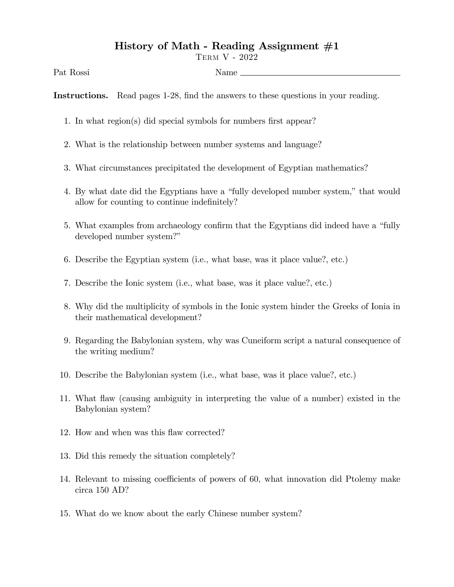## History of Math - Reading Assignment  $#1$

Term V - 2022

Pat Rossi Name

Instructions. Read pages 1-28, find the answers to these questions in your reading.

- 1. In what region(s) did special symbols for numbers first appear?
- 2. What is the relationship between number systems and language?
- 3. What circumstances precipitated the development of Egyptian mathematics?
- 4. By what date did the Egyptians have a "fully developed number system," that would allow for counting to continue indefinitely?
- 5. What examples from archaeology confirm that the Egyptians did indeed have a "fully" developed number system?"
- 6. Describe the Egyptian system (i.e., what base, was it place value?, etc.)
- 7. Describe the Ionic system (i.e., what base, was it place value?, etc.)
- 8. Why did the multiplicity of symbols in the Ionic system hinder the Greeks of Ionia in their mathematical development?
- 9. Regarding the Babylonian system, why was Cuneiform script a natural consequence of the writing medium?
- 10. Describe the Babylonian system (i.e., what base, was it place value?, etc.)
- 11. What áaw (causing ambiguity in interpreting the value of a number) existed in the Babylonian system?
- 12. How and when was this flaw corrected?
- 13. Did this remedy the situation completely?
- 14. Relevant to missing coefficients of powers of 60, what innovation did Ptolemy make circa 150 AD?
- 15. What do we know about the early Chinese number system?